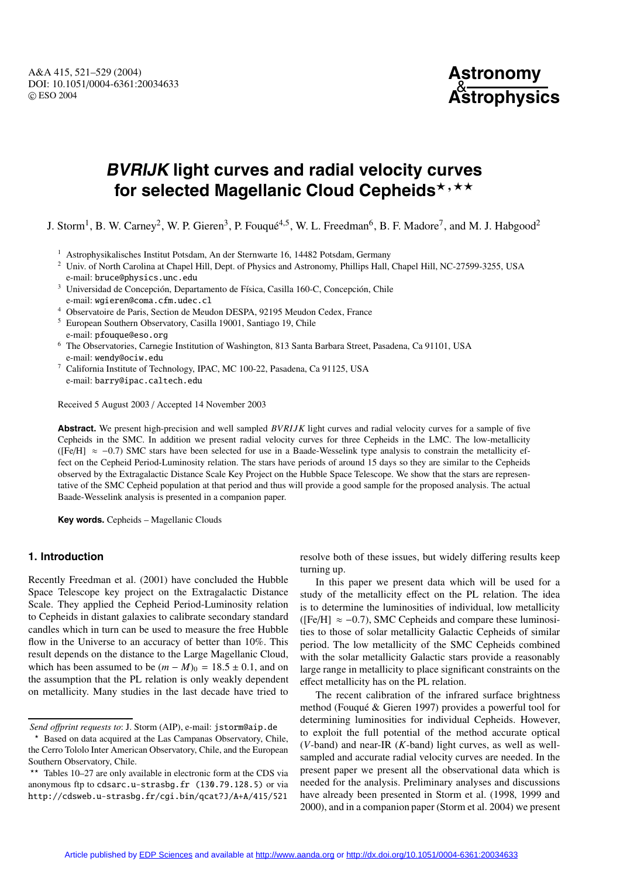A&A 415, 521–529 (2004) DOI: 10.1051/0004-6361:20034633 c ESO 2004

# **Astronomy** & **Astrophysics**

# **BVRIJK light curves and radial velocity curves** for selected Magellanic Cloud Cepheids<sup>\*,\*\*</sup>

J. Storm<sup>1</sup>, B. W. Carney<sup>2</sup>, W. P. Gieren<sup>3</sup>, P. Fouqué<sup>4,5</sup>, W. L. Freedman<sup>6</sup>, B. F. Madore<sup>7</sup>, and M. J. Habgood<sup>2</sup>

- <sup>1</sup> Astrophysikalisches Institut Potsdam, An der Sternwarte 16, 14482 Potsdam, Germany
- <sup>2</sup> Univ. of North Carolina at Chapel Hill, Dept. of Physics and Astronomy, Phillips Hall, Chapel Hill, NC-27599-3255, USA e-mail: bruce@physics.unc.edu
- <sup>3</sup> Universidad de Concepción, Departamento de Física, Casilla 160-C, Concepción, Chile e-mail: wgieren@coma.cfm.udec.cl
- <sup>4</sup> Observatoire de Paris, Section de Meudon DESPA, 92195 Meudon Cedex, France
- <sup>5</sup> European Southern Observatory, Casilla 19001, Santiago 19, Chile e-mail: pfouque@eso.org
- <sup>6</sup> The Observatories, Carnegie Institution of Washington, 813 Santa Barbara Street, Pasadena, Ca 91101, USA e-mail: wendy@ociw.edu
- <sup>7</sup> California Institute of Technology, IPAC, MC 100-22, Pasadena, Ca 91125, USA e-mail: barry@ipac.caltech.edu

Received 5 August 2003 / Accepted 14 November 2003

**Abstract.** We present high-precision and well sampled *BVRIJK* light curves and radial velocity curves for a sample of five Cepheids in the SMC. In addition we present radial velocity curves for three Cepheids in the LMC. The low-metallicity ([Fe/H]  $\approx$  -0.7) SMC stars have been selected for use in a Baade-Wesselink type analysis to constrain the metallicity effect on the Cepheid Period-Luminosity relation. The stars have periods of around 15 days so they are similar to the Cepheids observed by the Extragalactic Distance Scale Key Project on the Hubble Space Telescope. We show that the stars are representative of the SMC Cepheid population at that period and thus will provide a good sample for the proposed analysis. The actual Baade-Wesselink analysis is presented in a companion paper.

**Key words.** Cepheids – Magellanic Clouds

# **1. Introduction**

Recently Freedman et al. (2001) have concluded the Hubble Space Telescope key project on the Extragalactic Distance Scale. They applied the Cepheid Period-Luminosity relation to Cepheids in distant galaxies to calibrate secondary standard candles which in turn can be used to measure the free Hubble flow in the Universe to an accuracy of better than  $10\%$ . This result depends on the distance to the Large Magellanic Cloud, which has been assumed to be  $(m - M)_0 = 18.5 \pm 0.1$ , and on the assumption that the PL relation is only weakly dependent on metallicity. Many studies in the last decade have tried to resolve both of these issues, but widely differing results keep turning up.

In this paper we present data which will be used for a study of the metallicity effect on the PL relation. The idea is to determine the luminosities of individual, low metallicity ( $[Fe/H] \approx -0.7$ ), SMC Cepheids and compare these luminosities to those of solar metallicity Galactic Cepheids of similar period. The low metallicity of the SMC Cepheids combined with the solar metallicity Galactic stars provide a reasonably large range in metallicity to place significant constraints on the effect metallicity has on the PL relation.

The recent calibration of the infrared surface brightness method (Fouqué & Gieren 1997) provides a powerful tool for determining luminosities for individual Cepheids. However, to exploit the full potential of the method accurate optical (*V*-band) and near-IR (*K*-band) light curves, as well as wellsampled and accurate radial velocity curves are needed. In the present paper we present all the observational data which is needed for the analysis. Preliminary analyses and discussions have already been presented in Storm et al. (1998, 1999 and 2000), and in a companion paper (Storm et al. 2004) we present

*Send o*ff*print requests to*: J. Storm (AIP), e-mail: jstorm@aip.de

<sup>\*</sup> Based on data acquired at the Las Campanas Observatory, Chile, the Cerro Tololo Inter American Observatory, Chile, and the European Southern Observatory, Chile.

<sup>\*\*</sup> Tables 10–27 are only available in electronic form at the CDS via anonymous ftp to cdsarc.u-strasbg.fr (130.79.128.5) or via http://cdsweb.u-strasbg.fr/cgi.bin/qcat?J/A+A/415/521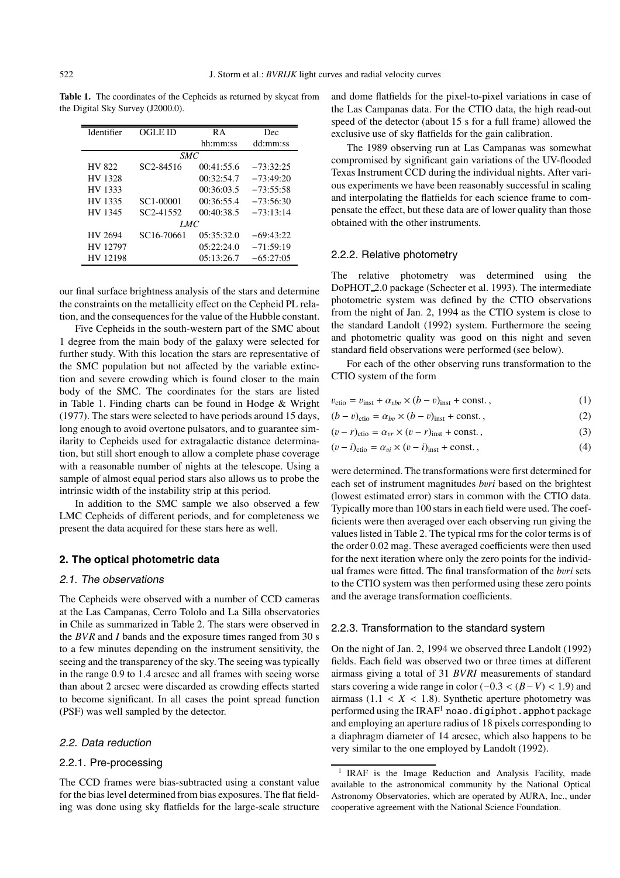| Identifier     | OGLE ID                | R A        |             |
|----------------|------------------------|------------|-------------|
|                |                        | hh:mm:ss   | dd:mm:ss    |
|                | <i>SMC</i>             |            |             |
| HV 822         | SC <sub>2</sub> -84516 | 00:41:55.6 | $-73:32:25$ |
| <b>HV 1328</b> |                        | 00:32:54.7 | $-73:49:20$ |
| HV 1333        |                        | 00:36:03.5 | $-73:55:58$ |
| HV 1335        | SC1-00001              | 00:36:55.4 | $-73:56:30$ |
| HV 1345        | SC <sub>2</sub> -41552 | 00:40:38.5 | $-73:13:14$ |
|                | LMC                    |            |             |
| HV 2694        | SC16-70661             | 05:35:32.0 | $-69:43:22$ |
| HV 12797       |                        | 05:22:24.0 | $-71:59:19$ |
| HV 12198       |                        | 05:13:26.7 | $-65:27:05$ |

Table 1. The coordinates of the Cepheids as returned by skycat from the Digital Sky Survey (J2000.0).

our final surface brightness analysis of the stars and determine the constraints on the metallicity effect on the Cepheid PL relation, and the consequences for the value of the Hubble constant.

Five Cepheids in the south-western part of the SMC about 1 degree from the main body of the galaxy were selected for further study. With this location the stars are representative of the SMC population but not affected by the variable extinction and severe crowding which is found closer to the main body of the SMC. The coordinates for the stars are listed in Table 1. Finding charts can be found in Hodge & Wright (1977). The stars were selected to have periods around 15 days, long enough to avoid overtone pulsators, and to guarantee similarity to Cepheids used for extragalactic distance determination, but still short enough to allow a complete phase coverage with a reasonable number of nights at the telescope. Using a sample of almost equal period stars also allows us to probe the intrinsic width of the instability strip at this period.

In addition to the SMC sample we also observed a few LMC Cepheids of different periods, and for completeness we present the data acquired for these stars here as well.

### **2. The optical photometric data**

#### 2.1. The observations

The Cepheids were observed with a number of CCD cameras at the Las Campanas, Cerro Tololo and La Silla observatories in Chile as summarized in Table 2. The stars were observed in the *BVR* and *I* bands and the exposure times ranged from 30 s to a few minutes depending on the instrument sensitivity, the seeing and the transparency of the sky. The seeing was typically in the range 0.9 to 1.4 arcsec and all frames with seeing worse than about 2 arcsec were discarded as crowding effects started to become significant. In all cases the point spread function (PSF) was well sampled by the detector.

#### 2.2. Data reduction

#### 2.2.1. Pre-processing

The CCD frames were bias-subtracted using a constant value for the bias level determined from bias exposures. The flat fielding was done using sky flatfields for the large-scale structure and dome flatfields for the pixel-to-pixel variations in case of the Las Campanas data. For the CTIO data, the high read-out speed of the detector (about 15 s for a full frame) allowed the exclusive use of sky flatfields for the gain calibration.

The 1989 observing run at Las Campanas was somewhat compromised by significant gain variations of the UV-flooded Texas Instrument CCD during the individual nights. After various experiments we have been reasonably successful in scaling and interpolating the flatfields for each science frame to compensate the effect, but these data are of lower quality than those obtained with the other instruments.

#### 2.2.2. Relative photometry

The relative photometry was determined using the DoPHOT 2.0 package (Schecter et al. 1993). The intermediate photometric system was defined by the CTIO observations from the night of Jan. 2, 1994 as the CTIO system is close to the standard Landolt (1992) system. Furthermore the seeing and photometric quality was good on this night and seven standard field observations were performed (see below).

For each of the other observing runs transformation to the CTIO system of the form

$$
v_{\rm cti0} = v_{\rm inst} + \alpha_{vbv} \times (b - v)_{\rm inst} + \text{const.},\tag{1}
$$

$$
(b - v)_{\text{ctio}} = \alpha_{bv} \times (b - v)_{\text{inst}} + \text{const.},\tag{2}
$$

$$
(v - r)_{\text{ctio}} = \alpha_{vr} \times (v - r)_{\text{inst}} + \text{const.},\tag{3}
$$

$$
(v - i)_{\text{ctio}} = \alpha_{vi} \times (v - i)_{\text{inst}} + \text{const.},\tag{4}
$$

were determined. The transformations were first determined for each set of instrument magnitudes *b*v*ri* based on the brightest (lowest estimated error) stars in common with the CTIO data. Typically more than 100 stars in each field were used. The coefficients were then averaged over each observing run giving the values listed in Table 2. The typical rms for the color terms is of the order 0.02 mag. These averaged coefficients were then used for the next iteration where only the zero points for the individual frames were fitted. The final transformation of the *b*v*ri* sets to the CTIO system was then performed using these zero points and the average transformation coefficients.

#### 2.2.3. Transformation to the standard system

On the night of Jan. 2, 1994 we observed three Landolt (1992) fields. Each field was observed two or three times at different airmass giving a total of 31 *BVRI* measurements of standard stars covering a wide range in color (−0.3 < (*B*−*V*) < 1.9) and airmass  $(1.1 < X < 1.8)$ . Synthetic aperture photometry was performed using the IRAF<sup>1</sup> noao.digiphot.apphotpackage and employing an aperture radius of 18 pixels corresponding to a diaphragm diameter of 14 arcsec, which also happens to be very similar to the one employed by Landolt (1992).

<sup>&</sup>lt;sup>1</sup> IRAF is the Image Reduction and Analysis Facility, made available to the astronomical community by the National Optical Astronomy Observatories, which are operated by AURA, Inc., under cooperative agreement with the National Science Foundation.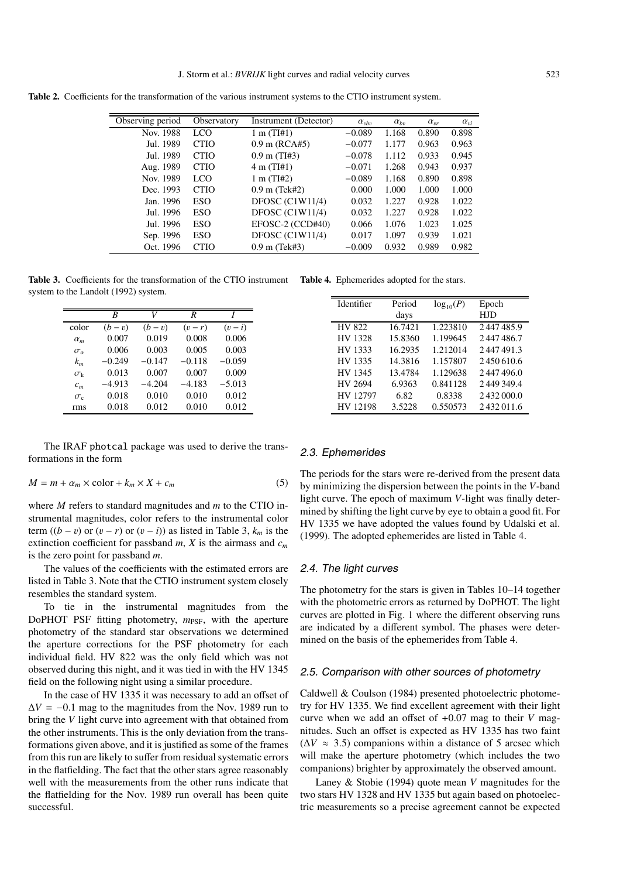**Table 2.** Coefficients for the transformation of the various instrument systems to the CTIO instrument system.

| Observing period | Observatory | Instrument (Detector)  | $\alpha_{vbn}$ | $\alpha_{bv}$ | $\alpha_{\rm nr}$ | $\alpha_{vi}$ |
|------------------|-------------|------------------------|----------------|---------------|-------------------|---------------|
| Nov. 1988        | <b>LCO</b>  | $1 \text{ m} (T1#1)$   | $-0.089$       | 1.168         | 0.890             | 0.898         |
| Jul. 1989        | <b>CTIO</b> | $0.9$ m (RCA#5)        | $-0.077$       | 1.177         | 0.963             | 0.963         |
| Jul. 1989        | <b>CTIO</b> | $0.9 \text{ m}$ (TI#3) | $-0.078$       | 1.112         | 0.933             | 0.945         |
| Aug. 1989        | <b>CTIO</b> | $4 \text{ m} (T1#1)$   | $-0.071$       | 1.268         | 0.943             | 0.937         |
| Nov. 1989        | LCO         | $1 \text{ m} (TI#2)$   | $-0.089$       | 1.168         | 0.890             | 0.898         |
| Dec. 1993        | <b>CTIO</b> | $0.9$ m (Tek#2)        | 0.000          | 1.000         | 1.000             | 1.000         |
| Jan. 1996        | <b>ESO</b>  | DFOSC $(C1W11/4)$      | 0.032          | 1.227         | 0.928             | 1.022         |
| Jul. 1996        | ESO         | DFOSC $(C1W11/4)$      | 0.032          | 1.227         | 0.928             | 1.022         |
| Jul. 1996        | ESO         | EFOSC-2 (CCD#40)       | 0.066          | 1.076         | 1.023             | 1.025         |
| Sep. 1996        | ESO         | DFOSC $(C1W11/4)$      | 0.017          | 1.097         | 0.939             | 1.021         |
| Oct. 1996        | <b>CTIO</b> | $0.9$ m (Tek#3)        | $-0.009$       | 0.932         | 0.989             | 0.982         |

**Table 3.** Coefficients for the transformation of the CTIO instrument system to the Landolt (1992) system. **Table 4.** Ephemerides adopted for the stars.

|                   | R        | V        | R        |          |
|-------------------|----------|----------|----------|----------|
| color             | $(b-v)$  | $(b-v)$  | $(v-r)$  | $(v-i)$  |
| $\alpha_m$        | 0.007    | 0.019    | 0.008    | 0.006    |
| $\sigma_{\alpha}$ | 0.006    | 0.003    | 0.005    | 0.003    |
| $k_m$             | $-0.249$ | $-0.147$ | $-0.118$ | $-0.059$ |
| $\sigma_{\rm k}$  | 0.013    | 0.007    | 0.007    | 0.009    |
| $c_m$             | $-4.913$ | $-4.204$ | $-4.183$ | $-5.013$ |
| $\sigma_{\rm c}$  | 0.018    | 0.010    | 0.010    | 0.012    |
| rms               | 0.018    | 0.012    | 0.010    | 0.012    |

The IRAF photcal package was used to derive the transformations in the form

$$
M = m + \alpha_m \times \text{color} + k_m \times X + c_m \tag{5}
$$

where *M* refers to standard magnitudes and *m* to the CTIO instrumental magnitudes, color refers to the instrumental color term  $((b - v)$  or  $(v - r)$  or  $(v - i)$  as listed in Table 3,  $k_m$  is the extinction coefficient for passband  $m$ ,  $X$  is the airmass and  $c_m$ is the zero point for passband *m*.

The values of the coefficients with the estimated errors are listed in Table 3. Note that the CTIO instrument system closely resembles the standard system.

To tie in the instrumental magnitudes from the DoPHOT PSF fitting photometry,  $m_{\text{PSF}}$ , with the aperture photometry of the standard star observations we determined the aperture corrections for the PSF photometry for each individual field. HV 822 was the only field which was not observed during this night, and it was tied in with the HV 1345 field on the following night using a similar procedure.

In the case of HV 1335 it was necessary to add an offset of  $\Delta V = -0.1$  mag to the magnitudes from the Nov. 1989 run to bring the *V* light curve into agreement with that obtained from the other instruments. This is the only deviation from the transformations given above, and it is justified as some of the frames from this run are likely to suffer from residual systematic errors in the flatfielding. The fact that the other stars agree reasonably well with the measurements from the other runs indicate that the flatfielding for the Nov. 1989 run overall has been quite successful.

#### 2.3. Ephemerides

The periods for the stars were re-derived from the present data by minimizing the dispersion between the points in the *V*-band light curve. The epoch of maximum *V*-light was finally determined by shifting the light curve by eye to obtain a good fit. For HV 1335 we have adopted the values found by Udalski et al. (1999). The adopted ephemerides are listed in Table 4.

Identifier Period  $log_{10}(P)$  Epoch<br>days HJD

HV 822 16.7421 1.223810 2 447 485.9 HV 1328 15.8360 1.199645 2 447 486.7 HV 1333 16.2935 1.212014 2447491.3<br>HV 1335 14.3816 1.157807 2450610.6

HV 1345 13.4784 1.129638 2 447 496.0 HV 2694 6.9363 0.841128 2 449 349.4 HV 12797 6.82 0.8338 2 432 000.0 HV 12198 3.5228 0.550573 2 432 011.6

14.3816 1.157807 2.450 610.6

HJD

# 2.4. The light curves

The photometry for the stars is given in Tables 10–14 together with the photometric errors as returned by DoPHOT. The light curves are plotted in Fig. 1 where the different observing runs are indicated by a different symbol. The phases were determined on the basis of the ephemerides from Table 4.

#### 2.5. Comparison with other sources of photometry

Caldwell & Coulson (1984) presented photoelectric photometry for HV 1335. We find excellent agreement with their light curve when we add an offset of +0.07 mag to their *V* magnitudes. Such an offset is expected as HV 1335 has two faint  $(\Delta V \approx 3.5)$  companions within a distance of 5 arcsec which will make the aperture photometry (which includes the two companions) brighter by approximately the observed amount.

Laney & Stobie (1994) quote mean *V* magnitudes for the two stars HV 1328 and HV 1335 but again based on photoelectric measurements so a precise agreement cannot be expected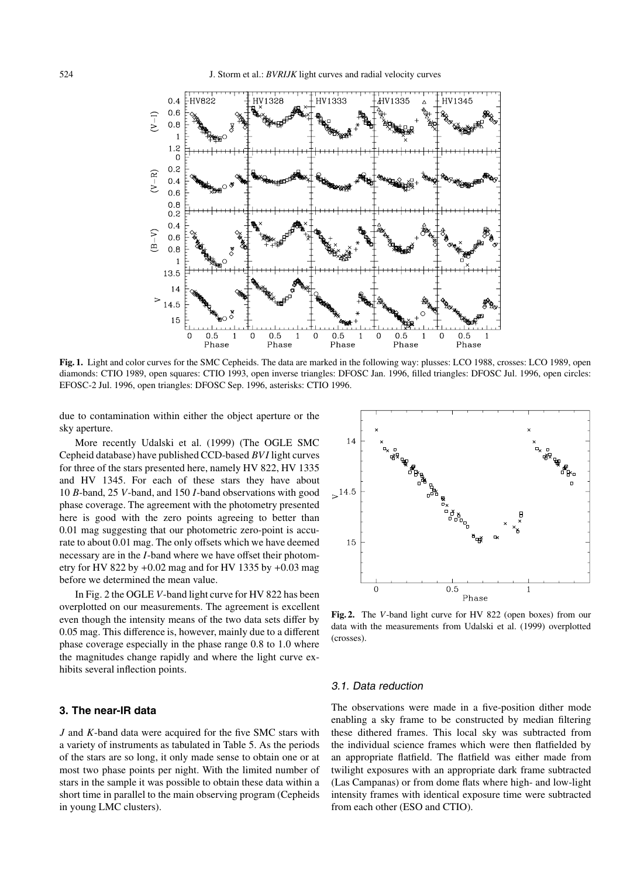

**Fig. 1.** Light and color curves for the SMC Cepheids. The data are marked in the following way: plusses: LCO 1988, crosses: LCO 1989, open diamonds: CTIO 1989, open squares: CTIO 1993, open inverse triangles: DFOSC Jan. 1996, filled triangles: DFOSC Jul. 1996, open circles: EFOSC-2 Jul. 1996, open triangles: DFOSC Sep. 1996, asterisks: CTIO 1996.

due to contamination within either the object aperture or the sky aperture.

More recently Udalski et al. (1999) (The OGLE SMC Cepheid database) have published CCD-based *BV I* light curves for three of the stars presented here, namely HV 822, HV 1335 and HV 1345. For each of these stars they have about 10 *B*-band, 25 *V*-band, and 150 *I*-band observations with good phase coverage. The agreement with the photometry presented here is good with the zero points agreeing to better than 0.01 mag suggesting that our photometric zero-point is accurate to about 0.01 mag. The only offsets which we have deemed necessary are in the *I*-band where we have offset their photometry for HV 822 by  $+0.02$  mag and for HV 1335 by  $+0.03$  mag before we determined the mean value.

In Fig. 2 the OGLE *V*-band light curve for HV 822 has been overplotted on our measurements. The agreement is excellent even though the intensity means of the two data sets differ by 0.05 mag. This difference is, however, mainly due to a different phase coverage especially in the phase range 0.8 to 1.0 where the magnitudes change rapidly and where the light curve exhibits several inflection points.

#### **3. The near-IR data**

*J* and *K*-band data were acquired for the five SMC stars with a variety of instruments as tabulated in Table 5. As the periods of the stars are so long, it only made sense to obtain one or at most two phase points per night. With the limited number of stars in the sample it was possible to obtain these data within a short time in parallel to the main observing program (Cepheids in young LMC clusters).



**Fig. 2.** The *V*-band light curve for HV 822 (open boxes) from our data with the measurements from Udalski et al. (1999) overplotted (crosses).

#### 3.1. Data reduction

The observations were made in a five-position dither mode enabling a sky frame to be constructed by median filtering these dithered frames. This local sky was subtracted from the individual science frames which were then flatfielded by an appropriate flatfield. The flatfield was either made from twilight exposures with an appropriate dark frame subtracted (Las Campanas) or from dome flats where high- and low-light intensity frames with identical exposure time were subtracted from each other (ESO and CTIO).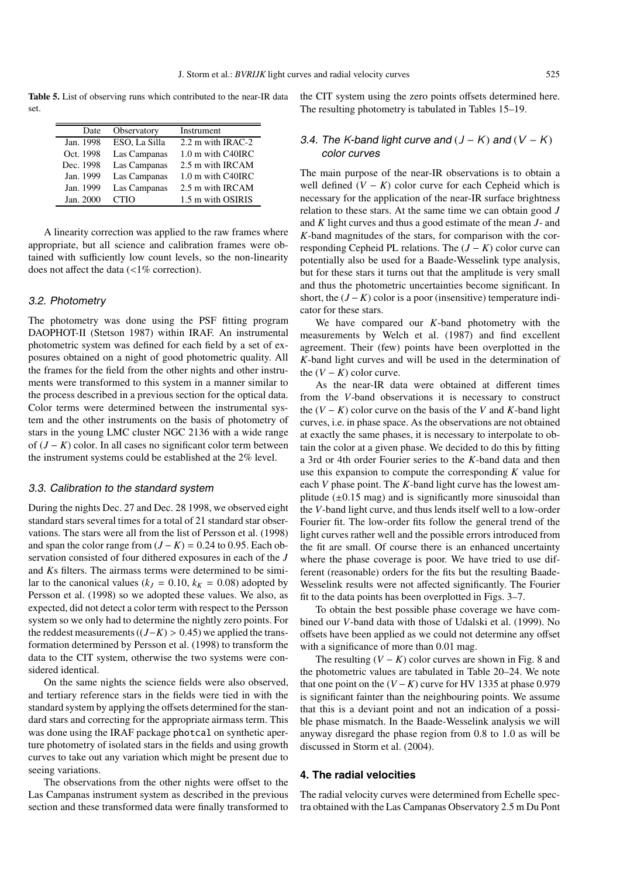**Table 5.** List of observing runs which contributed to the near-IR data set.

| Date      | Observatory   | Instrument        |
|-----------|---------------|-------------------|
| Jan. 1998 | ESO, La Silla | 2.2 m with IRAC-2 |
| Oct. 1998 | Las Campanas  | 1.0 m with C40IRC |
| Dec. 1998 | Las Campanas  | 2.5 m with IRCAM  |
| Jan. 1999 | Las Campanas  | 1.0 m with C40IRC |
| Jan. 1999 | Las Campanas  | 2.5 m with IRCAM  |
| Jan. 2000 | <b>CTIO</b>   | 1.5 m with OSIRIS |

A linearity correction was applied to the raw frames where appropriate, but all science and calibration frames were obtained with sufficiently low count levels, so the non-linearity does not affect the data (<1% correction).

# 3.2. Photometry

The photometry was done using the PSF fitting program DAOPHOT-II (Stetson 1987) within IRAF. An instrumental photometric system was defined for each field by a set of exposures obtained on a night of good photometric quality. All the frames for the field from the other nights and other instruments were transformed to this system in a manner similar to the process described in a previous section for the optical data. Color terms were determined between the instrumental system and the other instruments on the basis of photometry of stars in the young LMC cluster NGC 2136 with a wide range of (*J* − *K*) color. In all cases no significant color term between the instrument systems could be established at the 2% level.

#### 3.3. Calibration to the standard system

During the nights Dec. 27 and Dec. 28 1998, we observed eight standard stars several times for a total of 21 standard star observations. The stars were all from the list of Persson et al. (1998) and span the color range from  $(J - K) = 0.24$  to 0.95. Each observation consisted of four dithered exposures in each of the *J* and *K*s filters. The airmass terms were determined to be similar to the canonical values ( $k_J = 0.10$ ,  $k_K = 0.08$ ) adopted by Persson et al. (1998) so we adopted these values. We also, as expected, did not detect a color term with respect to the Persson system so we only had to determine the nightly zero points. For the reddest measurements  $((J−K) > 0.45)$  we applied the transformation determined by Persson et al. (1998) to transform the data to the CIT system, otherwise the two systems were considered identical.

On the same nights the science fields were also observed, and tertiary reference stars in the fields were tied in with the standard system by applying the offsets determined for the standard stars and correcting for the appropriate airmass term. This was done using the IRAF package photcal on synthetic aperture photometry of isolated stars in the fields and using growth curves to take out any variation which might be present due to seeing variations.

The observations from the other nights were offset to the Las Campanas instrument system as described in the previous section and these transformed data were finally transformed to the CIT system using the zero points offsets determined here. The resulting photometry is tabulated in Tables 15–19.

# 3.4. The *K*-band light curve and  $(J - K)$  and  $(V - K)$ color curves

The main purpose of the near-IR observations is to obtain a well defined  $(V - K)$  color curve for each Cepheid which is necessary for the application of the near-IR surface brightness relation to these stars. At the same time we can obtain good *J* and *K* light curves and thus a good estimate of the mean *J*- and *K*-band magnitudes of the stars, for comparison with the corresponding Cepheid PL relations. The (*J* − *K*) color curve can potentially also be used for a Baade-Wesselink type analysis, but for these stars it turns out that the amplitude is very small and thus the photometric uncertainties become significant. In short, the  $(J - K)$  color is a poor (insensitive) temperature indicator for these stars.

We have compared our *K*-band photometry with the measurements by Welch et al. (1987) and find excellent agreement. Their (few) points have been overplotted in the *K*-band light curves and will be used in the determination of the  $(V - K)$  color curve.

As the near-IR data were obtained at different times from the *V*-band observations it is necessary to construct the  $(V - K)$  color curve on the basis of the *V* and *K*-band light curves, i.e. in phase space. As the observations are not obtained at exactly the same phases, it is necessary to interpolate to obtain the color at a given phase. We decided to do this by fitting a 3rd or 4th order Fourier series to the *K*-band data and then use this expansion to compute the corresponding *K* value for each *V* phase point. The *K*-band light curve has the lowest amplitude  $(\pm 0.15 \text{ mag})$  and is significantly more sinusoidal than the *V*-band light curve, and thus lends itself well to a low-order Fourier fit. The low-order fits follow the general trend of the light curves rather well and the possible errors introduced from the fit are small. Of course there is an enhanced uncertainty where the phase coverage is poor. We have tried to use different (reasonable) orders for the fits but the resulting Baade-Wesselink results were not affected significantly. The Fourier fit to the data points has been overplotted in Figs. 3–7.

To obtain the best possible phase coverage we have combined our *V*-band data with those of Udalski et al. (1999). No offsets have been applied as we could not determine any offset with a significance of more than 0.01 mag.

The resulting  $(V - K)$  color curves are shown in Fig. 8 and the photometric values are tabulated in Table 20–24. We note that one point on the  $(V - K)$  curve for HV 1335 at phase 0.979 is significant fainter than the neighbouring points. We assume that this is a deviant point and not an indication of a possible phase mismatch. In the Baade-Wesselink analysis we will anyway disregard the phase region from 0.8 to 1.0 as will be discussed in Storm et al. (2004).

#### **4. The radial velocities**

The radial velocity curves were determined from Echelle spectra obtained with the Las Campanas Observatory 2.5 m Du Pont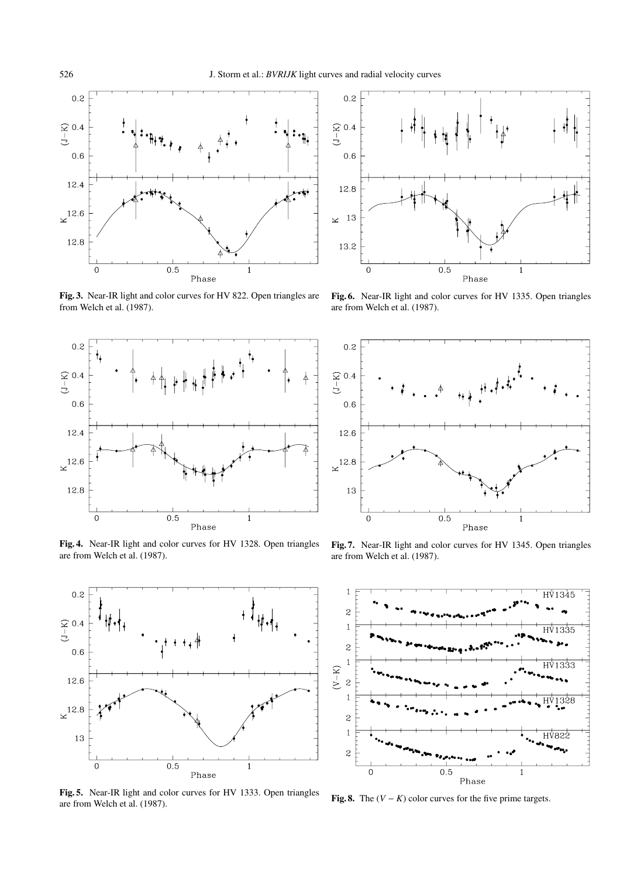

**Fig. 3.** Near-IR light and color curves for HV 822. Open triangles are from Welch et al. (1987).



**Fig. 4.** Near-IR light and color curves for HV 1328. Open triangles are from Welch et al. (1987).



**Fig. 5.** Near-IR light and color curves for HV 1333. Open triangles are from Welch et al. (1987).



**Fig. 6.** Near-IR light and color curves for HV 1335. Open triangles are from Welch et al. (1987).



**Fig. 7.** Near-IR light and color curves for HV 1345. Open triangles are from Welch et al. (1987).



**Fig. 8.** The  $(V - K)$  color curves for the five prime targets.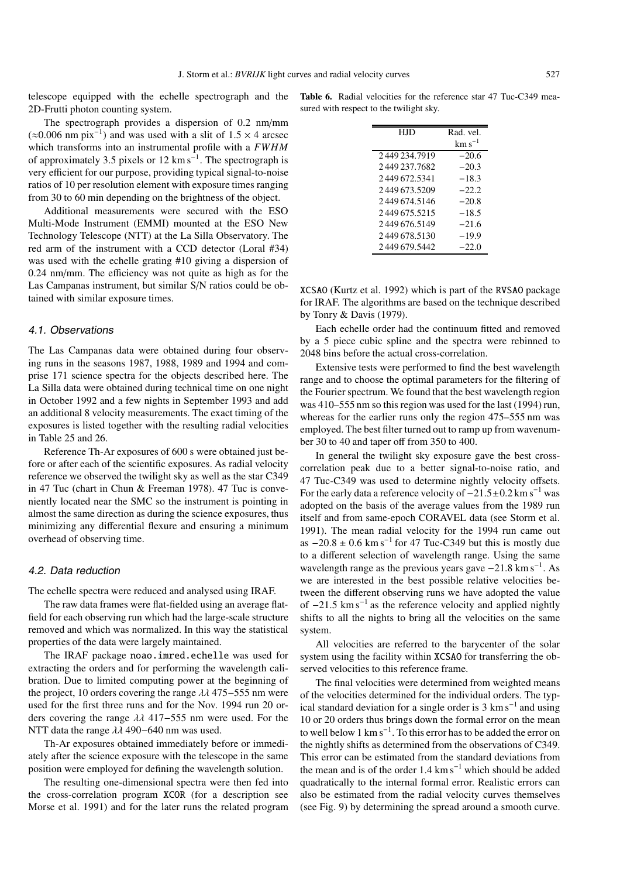telescope equipped with the echelle spectrograph and the 2D-Frutti photon counting system.

The spectrograph provides a dispersion of 0.2 nm/mm  $(\approx 0.006$  nm pix<sup>-1</sup>) and was used with a slit of 1.5 × 4 arcsec which transforms into an instrumental profile with a *FWHM* of approximately 3.5 pixels or 12 km s<sup> $-1$ </sup>. The spectrograph is very efficient for our purpose, providing typical signal-to-noise ratios of 10 per resolution element with exposure times ranging from 30 to 60 min depending on the brightness of the object.

Additional measurements were secured with the ESO Multi-Mode Instrument (EMMI) mounted at the ESO New Technology Telescope (NTT) at the La Silla Observatory. The red arm of the instrument with a CCD detector (Loral #34) was used with the echelle grating #10 giving a dispersion of 0.24 nm/mm. The efficiency was not quite as high as for the Las Campanas instrument, but similar S/N ratios could be obtained with similar exposure times.

#### 4.1. Observations

The Las Campanas data were obtained during four observing runs in the seasons 1987, 1988, 1989 and 1994 and comprise 171 science spectra for the objects described here. The La Silla data were obtained during technical time on one night in October 1992 and a few nights in September 1993 and add an additional 8 velocity measurements. The exact timing of the exposures is listed together with the resulting radial velocities in Table 25 and 26.

Reference Th-Ar exposures of 600 s were obtained just before or after each of the scientific exposures. As radial velocity reference we observed the twilight sky as well as the star C349 in 47 Tuc (chart in Chun & Freeman 1978). 47 Tuc is conveniently located near the SMC so the instrument is pointing in almost the same direction as during the science exposures, thus minimizing any differential flexure and ensuring a minimum overhead of observing time.

#### 4.2. Data reduction

The echelle spectra were reduced and analysed using IRAF.

The raw data frames were flat-fielded using an average flatfield for each observing run which had the large-scale structure removed and which was normalized. In this way the statistical properties of the data were largely maintained.

The IRAF package noao.imred.echelle was used for extracting the orders and for performing the wavelength calibration. Due to limited computing power at the beginning of the project, 10 orders covering the range λλ 475−555 nm were used for the first three runs and for the Nov. 1994 run 20 orders covering the range λλ 417−555 nm were used. For the NTT data the range  $\lambda\lambda$  490−640 nm was used.

Th-Ar exposures obtained immediately before or immediately after the science exposure with the telescope in the same position were employed for defining the wavelength solution.

The resulting one-dimensional spectra were then fed into the cross-correlation program XCOR (for a description see Morse et al. 1991) and for the later runs the related program

**Table 6.** Radial velocities for the reference star 47 Tuc-C349 measured with respect to the twilight sky.

| HJD            | Rad. vel.   |
|----------------|-------------|
|                | $km s^{-1}$ |
| 2449234.7919   | $-20.6$     |
| 2449237.7682   | $-20.3$     |
| 2.449 672.5341 | $-18.3$     |
| 2.449.673.5209 | $-22.2$     |
| 2449674.5146   | $-20.8$     |
| 2449675.5215   | $-18.5$     |
| 2449676.5149   | $-21.6$     |
| 2449678.5130   | $-19.9$     |
| 2449679.5442   | $-22.0$     |
|                |             |

XCSAO (Kurtz et al. 1992) which is part of the RVSAO package for IRAF. The algorithms are based on the technique described by Tonry & Davis (1979).

Each echelle order had the continuum fitted and removed by a 5 piece cubic spline and the spectra were rebinned to 2048 bins before the actual cross-correlation.

Extensive tests were performed to find the best wavelength range and to choose the optimal parameters for the filtering of the Fourier spectrum. We found that the best wavelength region was 410–555 nm so this region was used for the last (1994) run, whereas for the earlier runs only the region 475–555 nm was employed. The best filter turned out to ramp up from wavenumber 30 to 40 and taper off from 350 to 400.

In general the twilight sky exposure gave the best crosscorrelation peak due to a better signal-to-noise ratio, and 47 Tuc-C349 was used to determine nightly velocity offsets. For the early data a reference velocity of  $-21.5\pm0.2$  km s<sup>-1</sup> was adopted on the basis of the average values from the 1989 run itself and from same-epoch CORAVEL data (see Storm et al. 1991). The mean radial velocity for the 1994 run came out as  $-20.8 \pm 0.6$  km s<sup>-1</sup> for 47 Tuc-C349 but this is mostly due to a different selection of wavelength range. Using the same wavelength range as the previous years gave  $-21.8 \text{ km s}^{-1}$ . As we are interested in the best possible relative velocities between the different observing runs we have adopted the value of  $-21.5 \text{ km s}^{-1}$  as the reference velocity and applied nightly shifts to all the nights to bring all the velocities on the same system.

All velocities are referred to the barycenter of the solar system using the facility within XCSAO for transferring the observed velocities to this reference frame.

The final velocities were determined from weighted means of the velocities determined for the individual orders. The typical standard deviation for a single order is  $3 \text{ km s}^{-1}$  and using 10 or 20 orders thus brings down the formal error on the mean to well below 1 km s−1. To this error has to be added the error on the nightly shifts as determined from the observations of C349. This error can be estimated from the standard deviations from the mean and is of the order 1.4 km s<sup> $-1$ </sup> which should be added quadratically to the internal formal error. Realistic errors can also be estimated from the radial velocity curves themselves (see Fig. 9) by determining the spread around a smooth curve.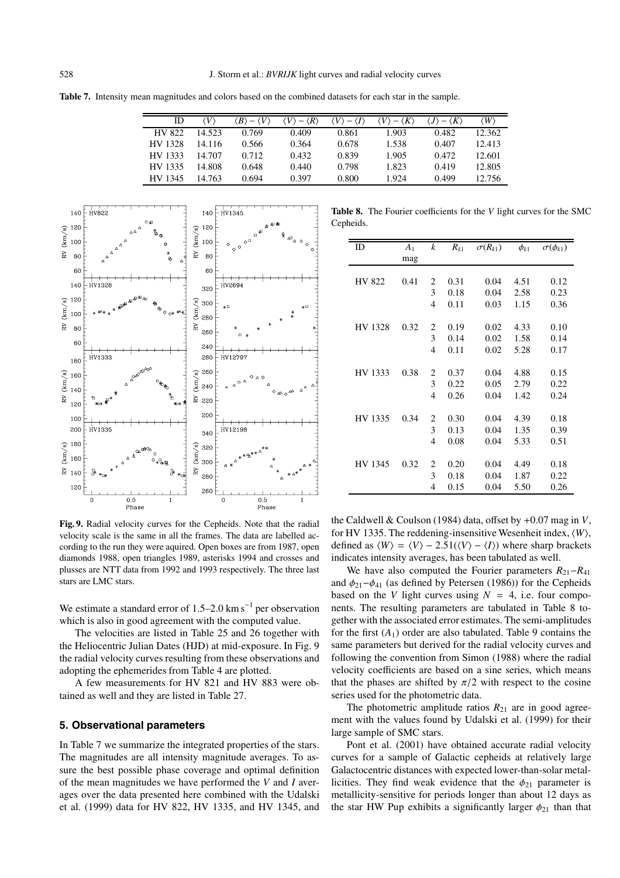|  | <b>Table 7.</b> Intensity mean magnitudes and colors based on the combined datasets for each star in the sample. |  |  |  |
|--|------------------------------------------------------------------------------------------------------------------|--|--|--|
|  |                                                                                                                  |  |  |  |

| ID      | V      | $\langle B \rangle - \langle V \rangle$ | $\langle V \rangle - \langle R \rangle$ | $\langle V \rangle - \langle I \rangle$ | $\langle V \rangle - \langle K \rangle$ | $\langle J \rangle - \langle K \rangle$ | $\langle W \rangle$ |
|---------|--------|-----------------------------------------|-----------------------------------------|-----------------------------------------|-----------------------------------------|-----------------------------------------|---------------------|
| HV 822  | 14.523 | 0.769                                   | 0.409                                   | 0.861                                   | 1.903                                   | 0.482                                   | 12.362              |
| HV 1328 | 14.116 | 0.566                                   | 0.364                                   | 0.678                                   | 1.538                                   | 0.407                                   | 12.413              |
| HV 1333 | 14.707 | 0.712                                   | 0.432                                   | 0.839                                   | 1.905                                   | 0.472                                   | 12.601              |
| HV 1335 | 14.808 | 0.648                                   | 0.440                                   | 0.798                                   | 1.823                                   | 0.419                                   | 12.805              |
| HV 1345 | 14.763 | 0.694                                   | 0.397                                   | 0.800                                   | 1.924                                   | 0.499                                   | 12.756              |



**Table 8.** The Fourier coefficients for the *V* light curves for the SMC Cepheids.

| ID            | A <sub>1</sub> | $\boldsymbol{k}$ | $R_{k1}$ | $\sigma(R_{k1})$ | $\phi_{k1}$ | $\sigma(\phi_{k1})$ |
|---------------|----------------|------------------|----------|------------------|-------------|---------------------|
|               | mag            |                  |          |                  |             |                     |
|               |                |                  |          |                  |             |                     |
| <b>HV 822</b> | 0.41           | 2                | 0.31     | 0.04             | 4.51        | 0.12                |
|               |                | 3                | 0.18     | 0.04             | 2.58        | 0.23                |
|               |                | 4                | 0.11     | 0.03             | 1.15        | 0.36                |
|               |                |                  |          |                  |             |                     |
| HV 1328       | 0.32           | 2                | 0.19     | 0.02             | 4.33        | 0.10                |
|               |                | 3                | 0.14     | 0.02             | 1.58        | 0.14                |
|               |                | 4                | 0.11     | 0.02             | 5.28        | 0.17                |
|               |                |                  |          |                  |             |                     |
| HV 1333       | 0.38           | 2                | 0.37     | 0.04             | 4.88        | 0.15                |
|               |                | 3                | 0.22     | 0.05             | 2.79        | 0.22                |
|               |                | 4                | 0.26     | 0.04             | 1.42        | 0.24                |
|               |                |                  |          |                  |             |                     |
| HV 1335       | 0.34           | 2                | 0.30     | 0.04             | 4.39        | 0.18                |
|               |                | 3                | 0.13     | 0.04             | 1.35        | 0.39                |
|               |                | 4                | 0.08     | 0.04             | 5.33        | 0.51                |
|               |                |                  |          |                  |             |                     |
| HV 1345       | 0.32           | 2                | 0.20     | 0.04             | 4.49        | 0.18                |
|               |                | 3                | 0.18     | 0.04             | 1.87        | 0.22                |
|               |                | 4                | 0.15     | 0.04             | 5.50        | 0.26                |

**Fig. 9.** Radial velocity curves for the Cepheids. Note that the radial velocity scale is the same in all the frames. The data are labelled according to the run they were aquired. Open boxes are from 1987, open diamonds 1988, open triangles 1989, asterisks 1994 and crosses and plusses are NTT data from 1992 and 1993 respectively. The three last stars are LMC stars.

We estimate a standard error of 1.5–2.0 km s<sup>-1</sup> per observation which is also in good agreement with the computed value.

The velocities are listed in Table 25 and 26 together with the Heliocentric Julian Dates (HJD) at mid-exposure. In Fig. 9 the radial velocity curves resulting from these observations and adopting the ephemerides from Table 4 are plotted.

A few measurements for HV 821 and HV 883 were obtained as well and they are listed in Table 27.

# **5. Observational parameters**

In Table 7 we summarize the integrated properties of the stars. The magnitudes are all intensity magnitude averages. To assure the best possible phase coverage and optimal definition of the mean magnitudes we have performed the *V* and *I* averages over the data presented here combined with the Udalski et al. (1999) data for HV 822, HV 1335, and HV 1345, and the Caldwell & Coulson (1984) data, offset by +0.07 mag in *V*, for HV 1335. The reddening-insensitive Wesenheit index, *W*, defined as  $\langle W \rangle = \langle V \rangle - 2.51(\langle V \rangle - \langle I \rangle)$  where sharp brackets indicates intensity averages, has been tabulated as well.

We have also computed the Fourier parameters  $R_{21}-R_{41}$ and  $\phi_{21}$  − $\phi_{41}$  (as defined by Petersen (1986)) for the Cepheids based on the *V* light curves using  $N = 4$ , i.e. four components. The resulting parameters are tabulated in Table 8 together with the associated error estimates. The semi-amplitudes for the first  $(A_1)$  order are also tabulated. Table 9 contains the same parameters but derived for the radial velocity curves and following the convention from Simon (1988) where the radial velocity coefficients are based on a sine series, which means that the phases are shifted by  $\pi/2$  with respect to the cosine series used for the photometric data.

The photometric amplitude ratios  $R_{21}$  are in good agreement with the values found by Udalski et al. (1999) for their large sample of SMC stars.

Pont et al. (2001) have obtained accurate radial velocity curves for a sample of Galactic cepheids at relatively large Galactocentric distances with expected lower-than-solar metallicities. They find weak evidence that the  $\phi_{21}$  parameter is metallicity-sensitive for periods longer than about 12 days as the star HW Pup exhibits a significantly larger  $\phi_{21}$  than that